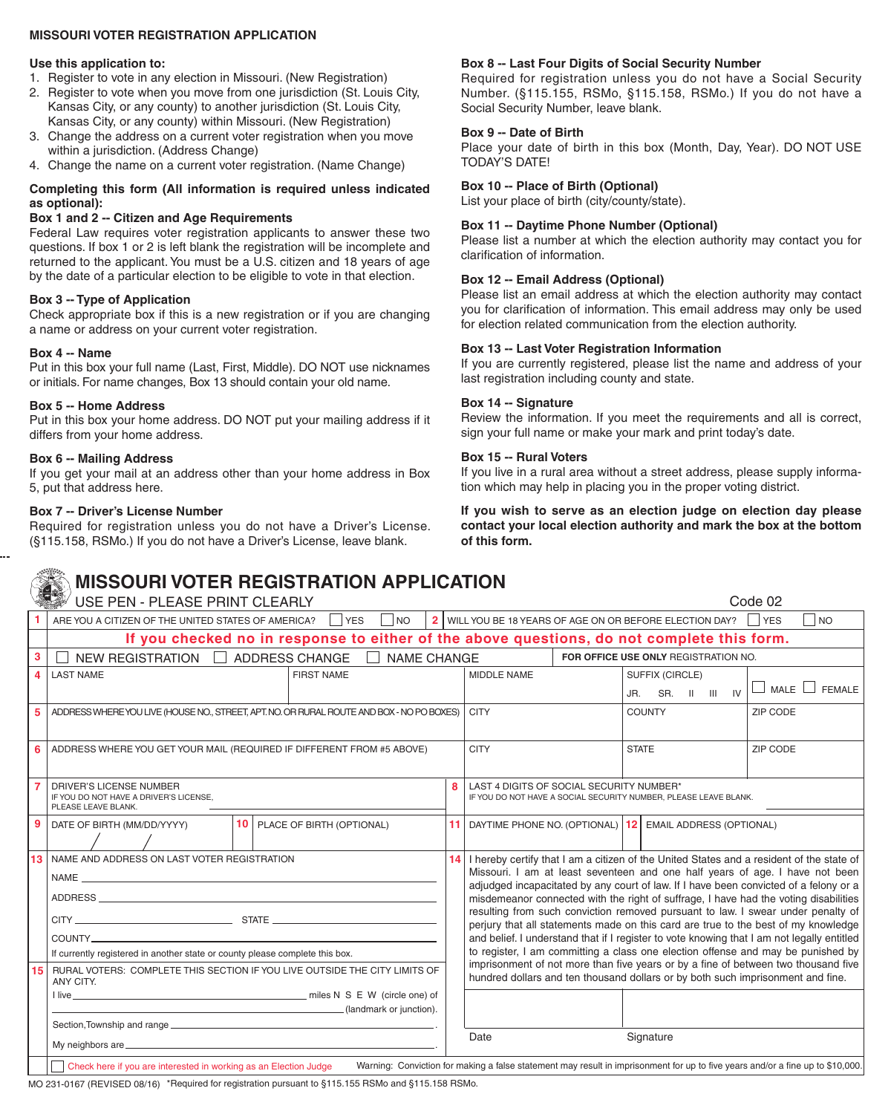## **MISSOURI VOTER REGISTRATION APPLICATION**

#### **Use this application to:**

- 1. Register to vote in any election in Missouri. (New Registration)
- 2. Register to vote when you move from one jurisdiction (St. Louis City, Kansas City, or any county) to another jurisdiction (St. Louis City, Kansas City, or any county) within Missouri. (New Registration)
- 3. Change the address on a current voter registration when you move within a jurisdiction. (Address Change)
- 4. Change the name on a current voter registration. (Name Change)

## **Completing this form (All information is required unless indicated as optional):**

## **Box 1 and 2 -- Citizen and Age Requirements**

Federal Law requires voter registration applicants to answer these two questions. If box 1 or 2 is left blank the registration will be incomplete and returned to the applicant. You must be a U.S. citizen and 18 years of age by the date of a particular election to be eligible to vote in that election.

## **Box 3 -- Type of Application**

Check appropriate box if this is a new registration or if you are changing a name or address on your current voter registration.

#### **Box 4 -- Name**

Put in this box your full name (Last, First, Middle). DO NOT use nicknames or initials. For name changes, Box 13 should contain your old name.

#### **Box 5 -- Home Address**

Put in this box your home address. DO NOT put your mailing address if it differs from your home address.

#### **Box 6 -- Mailing Address**

If you get your mail at an address other than your home address in Box 5, put that address here.

#### **Box 7 -- Driver's License Number**

Required for registration unless you do not have a Driver's License. (§115.158, RSMo.) If you do not have a Driver's License, leave blank.

## **Box 8 -- Last Four Digits of Social Security Number**

Required for registration unless you do not have a Social Security Number. (§115.155, RSMo, §115.158, RSMo.) If you do not have a Social Security Number, leave blank.

#### **Box 9 -- Date of Birth**

Place your date of birth in this box (Month, Day, Year). DO NOT USE TODAY'S DATE!

## **Box 10 -- Place of Birth (Optional)**

List your place of birth (city/county/state).

## **Box 11 -- Daytime Phone Number (Optional)**

Please list a number at which the election authority may contact you for clarification of information.

## **Box 12 -- Email Address (Optional)**

Please list an email address at which the election authority may contact you for clarification of information. This email address may only be used for election related communication from the election authority.

#### **Box 13 -- Last Voter Registration Information**

If you are currently registered, please list the name and address of your last registration including county and state.

## **Box 14 -- Signature**

Review the information. If you meet the requirements and all is correct, sign your full name or make your mark and print today's date.

#### **Box 15 -- Rural Voters**

If you live in a rural area without a street address, please supply information which may help in placing you in the proper voting district.

**If you wish to serve as an election judge on election day please contact your local election authority and mark the box at the bottom of this form.**

Code 02

# **MISSOURI VOTER REGISTRATION APPLICATION**

USE PEN - PLEASE PRINT CLEARLY

|              | 2 WILL YOU BE 18 YEARS OF AGE ON OR BEFORE ELECTION DAY?<br><b>NO</b><br>ARE YOU A CITIZEN OF THE UNITED STATES OF AMERICA?<br><b>I</b> YES<br>N                                                   |  |  |  |             |                                                                                                                                                                                                                                                                                                                                                                                                                                         |                                                                                 |                                      |                         |  |
|--------------|----------------------------------------------------------------------------------------------------------------------------------------------------------------------------------------------------|--|--|--|-------------|-----------------------------------------------------------------------------------------------------------------------------------------------------------------------------------------------------------------------------------------------------------------------------------------------------------------------------------------------------------------------------------------------------------------------------------------|---------------------------------------------------------------------------------|--------------------------------------|-------------------------|--|
|              | If you checked no in response to either of the above questions, do not complete this form.                                                                                                         |  |  |  |             |                                                                                                                                                                                                                                                                                                                                                                                                                                         |                                                                                 |                                      |                         |  |
| 3            | NEW REGISTRATION   ADDRESS CHANGE<br>NAME CHANGE                                                                                                                                                   |  |  |  |             |                                                                                                                                                                                                                                                                                                                                                                                                                                         |                                                                                 | FOR OFFICE USE ONLY REGISTRATION NO. |                         |  |
| Δ            | <b>LAST NAME</b><br><b>FIRST NAME</b>                                                                                                                                                              |  |  |  |             | MIDDLE NAME                                                                                                                                                                                                                                                                                                                                                                                                                             |                                                                                 | SUFFIX (CIRCLE)                      |                         |  |
|              |                                                                                                                                                                                                    |  |  |  |             |                                                                                                                                                                                                                                                                                                                                                                                                                                         |                                                                                 | JR. SR. II III IV                    | MALE  <br><b>FEMALE</b> |  |
| 5            | ADDRESS WHERE YOU LIVE (HOUSE NO., STREET, APT. NO. OR RURAL ROUTE AND BOX - NO PO BOXES)                                                                                                          |  |  |  |             | <b>CITY</b>                                                                                                                                                                                                                                                                                                                                                                                                                             |                                                                                 | <b>COUNTY</b>                        | ZIP CODE                |  |
|              |                                                                                                                                                                                                    |  |  |  |             |                                                                                                                                                                                                                                                                                                                                                                                                                                         |                                                                                 |                                      |                         |  |
|              | ADDRESS WHERE YOU GET YOUR MAIL (REQUIRED IF DIFFERENT FROM #5 ABOVE)                                                                                                                              |  |  |  | <b>CITY</b> |                                                                                                                                                                                                                                                                                                                                                                                                                                         |                                                                                 | <b>STATE</b>                         | ZIP CODE                |  |
|              |                                                                                                                                                                                                    |  |  |  |             |                                                                                                                                                                                                                                                                                                                                                                                                                                         |                                                                                 |                                      |                         |  |
|              | <b>DRIVER'S LICENSE NUMBER</b><br>IF YOU DO NOT HAVE A DRIVER'S LICENSE.<br>PLEASE LEAVE BLANK.                                                                                                    |  |  |  | 8           | LAST 4 DIGITS OF SOCIAL SECURITY NUMBER*<br>IF YOU DO NOT HAVE A SOCIAL SECURITY NUMBER. PLEASE LEAVE BLANK.                                                                                                                                                                                                                                                                                                                            |                                                                                 |                                      |                         |  |
|              |                                                                                                                                                                                                    |  |  |  |             |                                                                                                                                                                                                                                                                                                                                                                                                                                         |                                                                                 |                                      |                         |  |
| $\mathbf{q}$ | <b>10 PLACE OF BIRTH (OPTIONAL)</b><br>DATE OF BIRTH (MM/DD/YYYY)                                                                                                                                  |  |  |  |             | 11 DAYTIME PHONE NO. (OPTIONAL) 12 EMAIL ADDRESS (OPTIONAL)                                                                                                                                                                                                                                                                                                                                                                             |                                                                                 |                                      |                         |  |
|              |                                                                                                                                                                                                    |  |  |  |             |                                                                                                                                                                                                                                                                                                                                                                                                                                         |                                                                                 |                                      |                         |  |
| 13           | NAME AND ADDRESS ON LAST VOTER REGISTRATION                                                                                                                                                        |  |  |  |             | I hereby certify that I am a citizen of the United States and a resident of the state of<br>14                                                                                                                                                                                                                                                                                                                                          |                                                                                 |                                      |                         |  |
|              | ADDRESS AND ALL AND ANNUAL AND ANNUAL AND ANNUAL AND ANNUAL AND ANNUAL AND ANNUAL AND ANNUAL AND ANNUAL AND AN                                                                                     |  |  |  |             | Missouri. I am at least seventeen and one half years of age. I have not been<br>adjudged incapacitated by any court of law. If I have been convicted of a felony or a<br>misdemeanor connected with the right of suffrage, I have had the voting disabilities<br>resulting from such conviction removed pursuant to law. I swear under penalty of<br>perjury that all statements made on this card are true to the best of my knowledge |                                                                                 |                                      |                         |  |
|              |                                                                                                                                                                                                    |  |  |  |             |                                                                                                                                                                                                                                                                                                                                                                                                                                         |                                                                                 |                                      |                         |  |
|              |                                                                                                                                                                                                    |  |  |  |             |                                                                                                                                                                                                                                                                                                                                                                                                                                         |                                                                                 |                                      |                         |  |
|              |                                                                                                                                                                                                    |  |  |  |             | and belief. I understand that if I register to vote knowing that I am not legally entitled<br>to register, I am committing a class one election offense and may be punished by<br>imprisonment of not more than five years or by a fine of between two thousand five                                                                                                                                                                    |                                                                                 |                                      |                         |  |
|              | If currently registered in another state or county please complete this box.                                                                                                                       |  |  |  |             |                                                                                                                                                                                                                                                                                                                                                                                                                                         |                                                                                 |                                      |                         |  |
| 15           | RURAL VOTERS: COMPLETE THIS SECTION IF YOU LIVE OUTSIDE THE CITY LIMITS OF<br>ANY CITY.<br>(landmark or junction).                                                                                 |  |  |  |             |                                                                                                                                                                                                                                                                                                                                                                                                                                         | hundred dollars and ten thousand dollars or by both such imprisonment and fine. |                                      |                         |  |
|              |                                                                                                                                                                                                    |  |  |  |             |                                                                                                                                                                                                                                                                                                                                                                                                                                         |                                                                                 |                                      |                         |  |
|              |                                                                                                                                                                                                    |  |  |  |             |                                                                                                                                                                                                                                                                                                                                                                                                                                         |                                                                                 |                                      |                         |  |
|              | Section, Township and range                                                                                                                                                                        |  |  |  |             | Date<br>Signature                                                                                                                                                                                                                                                                                                                                                                                                                       |                                                                                 |                                      |                         |  |
|              |                                                                                                                                                                                                    |  |  |  |             |                                                                                                                                                                                                                                                                                                                                                                                                                                         |                                                                                 |                                      |                         |  |
|              | Check here if you are interested in working as an Election Judge<br>Warning: Conviction for making a false statement may result in imprisonment for up to five years and/or a fine up to \$10,000. |  |  |  |             |                                                                                                                                                                                                                                                                                                                                                                                                                                         |                                                                                 |                                      |                         |  |

MO 231-0167 (REVISED 08/16) \*Required for registration pursuant to §115.155 RSMo and §115.158 RSMo.